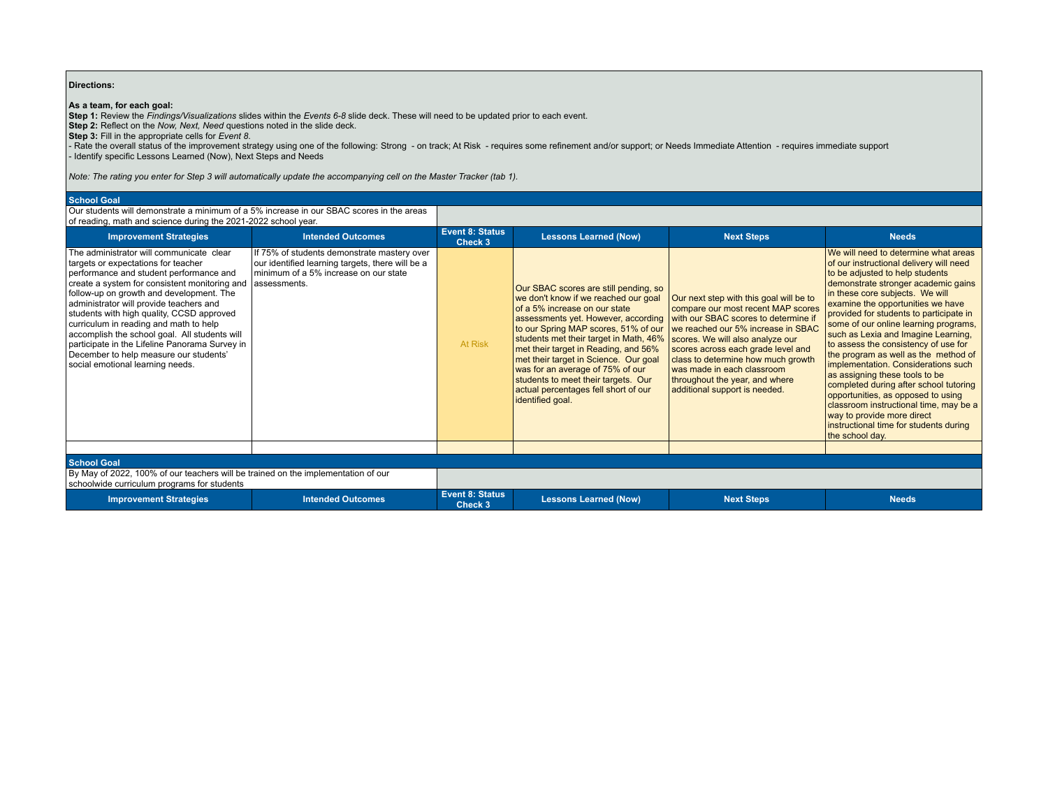## **Directions:**

**As a team, for each goal:**<br>Step 1: Review the *Findings/Visualizations* slides within the *Events 6-8* slide deck. These will need to be updated prior to each event.<br>Step 2: Reflect on the *Now, Next, Need* questions not

- Rate the overall status of the improvement strategy using one of the following: Strong - on track; At Risk - requires some refinement and/or support; or Needs Immediate Attention - requires immediate support<br>- Identif

*Note: The rating you enter for Step 3 will automatically update the accompanying cell on the Master Tracker (tab 1).*

## **School Goal**

Our students will demonstrate a minimum of a 5% increase in our SBAC scores in the areas of reading, math and science during the 2021-2022 school year.

| <b>Improvement Strategies</b>                                                                                                                                                                                                                                                                                                                                                                                                                                                                                                              | <b>Intended Outcomes</b>                                                                                                                                 | Event 8: Status<br>Check 3        | <b>Lessons Learned (Now)</b>                                                                                                                                                                                                                                                                                                                                                                                                                                    | <b>Next Steps</b>                                                                                                                                                                                                                                                                                                                                                            | <b>Needs</b>                                                                                                                                                                                                                                                                                                                                                                                                                                                                                                                                                                                                                                                                                                                               |  |  |
|--------------------------------------------------------------------------------------------------------------------------------------------------------------------------------------------------------------------------------------------------------------------------------------------------------------------------------------------------------------------------------------------------------------------------------------------------------------------------------------------------------------------------------------------|----------------------------------------------------------------------------------------------------------------------------------------------------------|-----------------------------------|-----------------------------------------------------------------------------------------------------------------------------------------------------------------------------------------------------------------------------------------------------------------------------------------------------------------------------------------------------------------------------------------------------------------------------------------------------------------|------------------------------------------------------------------------------------------------------------------------------------------------------------------------------------------------------------------------------------------------------------------------------------------------------------------------------------------------------------------------------|--------------------------------------------------------------------------------------------------------------------------------------------------------------------------------------------------------------------------------------------------------------------------------------------------------------------------------------------------------------------------------------------------------------------------------------------------------------------------------------------------------------------------------------------------------------------------------------------------------------------------------------------------------------------------------------------------------------------------------------------|--|--|
| The administrator will communicate clear<br>targets or expectations for teacher<br>performance and student performance and<br>create a system for consistent monitoring and<br>follow-up on growth and development. The<br>administrator will provide teachers and<br>students with high quality, CCSD approved<br>curriculum in reading and math to help<br>accomplish the school goal. All students will<br>participate in the Lifeline Panorama Survey in<br>December to help measure our students'<br>social emotional learning needs. | If 75% of students demonstrate mastery over<br>our identified learning targets, there will be a<br>minimum of a 5% increase on our state<br>assessments. | At Risk                           | Our SBAC scores are still pending, so<br>we don't know if we reached our goal<br>of a 5% increase on our state<br>assessments yet. However, according<br>to our Spring MAP scores, 51% of our<br>students met their target in Math, 46%<br>met their target in Reading, and 56%<br>met their target in Science. Our goal<br>was for an average of 75% of our<br>students to meet their targets. Our<br>actual percentages fell short of our<br>identified goal. | Our next step with this goal will be to<br>compare our most recent MAP scores<br>with our SBAC scores to determine if<br>we reached our 5% increase in SBAC<br>scores. We will also analyze our<br>scores across each grade level and<br>class to determine how much growth<br>was made in each classroom<br>throughout the year, and where<br>additional support is needed. | We will need to determine what areas<br>of our instructional delivery will need<br>to be adjusted to help students<br>demonstrate stronger academic gains<br>in these core subjects. We will<br>examine the opportunities we have<br>provided for students to participate in<br>some of our online learning programs,<br>such as Lexia and Imagine Learning,<br>to assess the consistency of use for<br>the program as well as the method of<br>implementation. Considerations such<br>as assigning these tools to be<br>completed during after school tutoring<br>opportunities, as opposed to using<br>classroom instructional time, may be a<br>way to provide more direct<br>instructional time for students during<br>the school day. |  |  |
| <b>School Goal</b>                                                                                                                                                                                                                                                                                                                                                                                                                                                                                                                         |                                                                                                                                                          |                                   |                                                                                                                                                                                                                                                                                                                                                                                                                                                                 |                                                                                                                                                                                                                                                                                                                                                                              |                                                                                                                                                                                                                                                                                                                                                                                                                                                                                                                                                                                                                                                                                                                                            |  |  |
| By May of 2022, 100% of our teachers will be trained on the implementation of our<br>schoolwide curriculum programs for students                                                                                                                                                                                                                                                                                                                                                                                                           |                                                                                                                                                          |                                   |                                                                                                                                                                                                                                                                                                                                                                                                                                                                 |                                                                                                                                                                                                                                                                                                                                                                              |                                                                                                                                                                                                                                                                                                                                                                                                                                                                                                                                                                                                                                                                                                                                            |  |  |
| <b>Improvement Strategies</b>                                                                                                                                                                                                                                                                                                                                                                                                                                                                                                              | <b>Intended Outcomes</b>                                                                                                                                 | <b>Event 8: Status</b><br>Check 3 | <b>Lessons Learned (Now)</b>                                                                                                                                                                                                                                                                                                                                                                                                                                    | <b>Next Steps</b>                                                                                                                                                                                                                                                                                                                                                            | <b>Needs</b>                                                                                                                                                                                                                                                                                                                                                                                                                                                                                                                                                                                                                                                                                                                               |  |  |